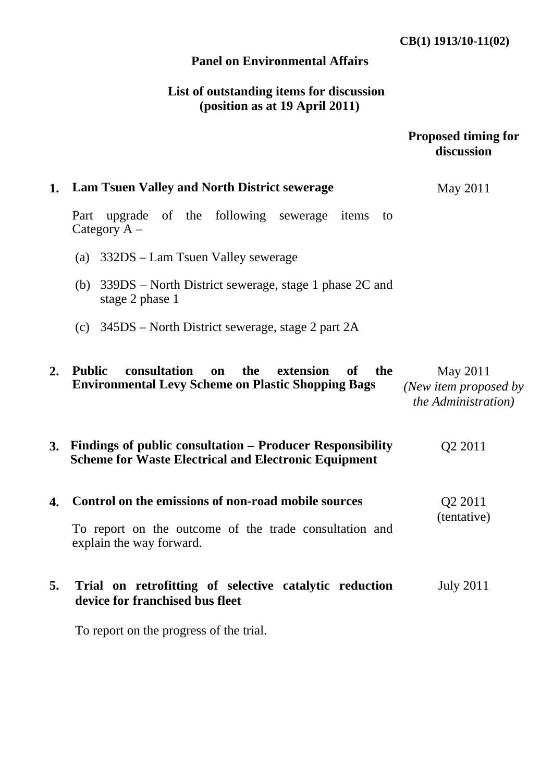## **Panel on Environmental Affairs**

# **List of outstanding items for discussion (position as at 19 April 2011)**

|    |                                                                                                                                           | <b>Proposed timing for</b><br>discussion                         |
|----|-------------------------------------------------------------------------------------------------------------------------------------------|------------------------------------------------------------------|
| 1. | <b>Lam Tsuen Valley and North District sewerage</b>                                                                                       | May 2011                                                         |
|    | upgrade of the following sewerage<br>Part<br>items<br>to<br>Category $A -$                                                                |                                                                  |
|    | (a) 332DS – Lam Tsuen Valley sewerage                                                                                                     |                                                                  |
|    | (b) $339DS$ – North District sewerage, stage 1 phase 2C and<br>stage 2 phase 1                                                            |                                                                  |
|    | (c) $345DS$ – North District sewerage, stage 2 part 2A                                                                                    |                                                                  |
| 2. | <b>Public</b><br>consultation<br>the<br>extension<br>of<br>the<br>on<br><b>Environmental Levy Scheme on Plastic Shopping Bags</b>         | May 2011<br>(New item proposed by<br><i>the Administration</i> ) |
| 3. | Findings of public consultation - Producer Responsibility<br><b>Scheme for Waste Electrical and Electronic Equipment</b>                  | Q <sub>2</sub> 2011                                              |
| 4. | Control on the emissions of non-road mobile sources<br>To report on the outcome of the trade consultation and<br>explain the way forward. | Q <sub>2</sub> 2011<br>(tentative)                               |
| 5. | Trial on retrofitting of selective catalytic reduction<br>device for franchised bus fleet                                                 | <b>July 2011</b>                                                 |

To report on the progress of the trial.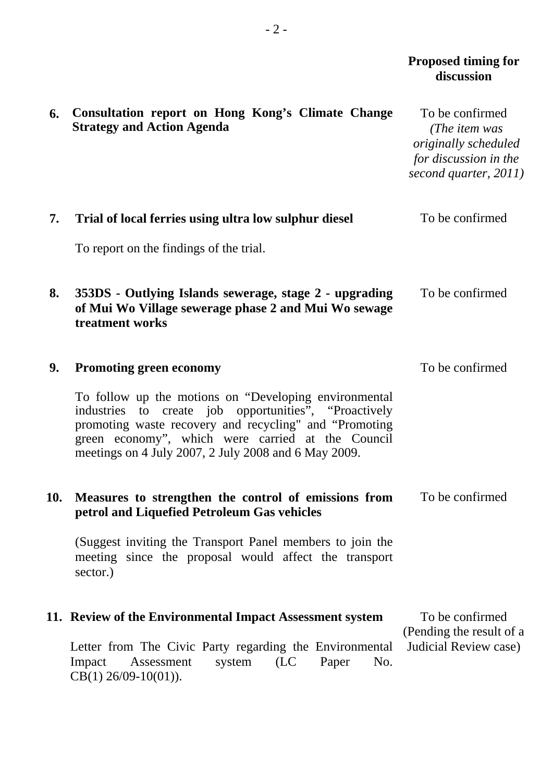#### *Proposed timing for* **discussion**

| 6.  | Consultation report on Hong Kong's Climate Change<br><b>Strategy and Action Agenda</b>                                                                                                                                                                                                | To be confirmed<br>(The item was<br>originally scheduled<br>for discussion in the<br>second quarter, 2011) |
|-----|---------------------------------------------------------------------------------------------------------------------------------------------------------------------------------------------------------------------------------------------------------------------------------------|------------------------------------------------------------------------------------------------------------|
| 7.  | Trial of local ferries using ultra low sulphur diesel                                                                                                                                                                                                                                 | To be confirmed                                                                                            |
|     | To report on the findings of the trial.                                                                                                                                                                                                                                               |                                                                                                            |
| 8.  | 353DS - Outlying Islands sewerage, stage 2 - upgrading<br>of Mui Wo Village sewerage phase 2 and Mui Wo sewage<br>treatment works                                                                                                                                                     | To be confirmed                                                                                            |
| 9.  | <b>Promoting green economy</b>                                                                                                                                                                                                                                                        | To be confirmed                                                                                            |
|     | To follow up the motions on "Developing environmental<br>industries to create job opportunities", "Proactively<br>promoting waste recovery and recycling" and "Promoting<br>green economy", which were carried at the Council<br>meetings on 4 July 2007, 2 July 2008 and 6 May 2009. |                                                                                                            |
| 10. | Measures to strengthen the control of emissions from<br>petrol and Liquefied Petroleum Gas vehicles                                                                                                                                                                                   | To be confirmed                                                                                            |
|     | (Suggest inviting the Transport Panel members to join the<br>meeting since the proposal would affect the transport<br>sector.)                                                                                                                                                        |                                                                                                            |
|     | 11. Review of the Environmental Impact Assessment system                                                                                                                                                                                                                              | To be confirmed                                                                                            |
|     | Letter from The Civic Party regarding the Environmental<br>(LC)<br>No.<br>Assessment<br>system<br>Paper<br>Impact<br>$CB(1)$ 26/09-10(01)).                                                                                                                                           | (Pending the result of a<br>Judicial Review case)                                                          |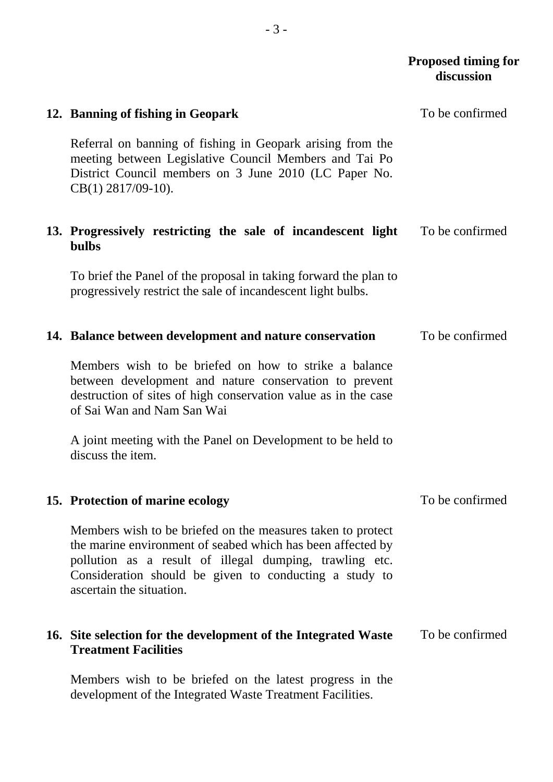### *Proposed timing for* **discussion**

| 12. Banning of fishing in Geopark                                                                                                                                                                                                                                           | To be confirmed |
|-----------------------------------------------------------------------------------------------------------------------------------------------------------------------------------------------------------------------------------------------------------------------------|-----------------|
| Referral on banning of fishing in Geopark arising from the<br>meeting between Legislative Council Members and Tai Po<br>District Council members on 3 June 2010 (LC Paper No.<br>$CB(1)$ 2817/09-10).                                                                       |                 |
| 13. Progressively restricting the sale of incandescent light<br><b>bulbs</b>                                                                                                                                                                                                | To be confirmed |
| To brief the Panel of the proposal in taking forward the plan to<br>progressively restrict the sale of incandescent light bulbs.                                                                                                                                            |                 |
| 14. Balance between development and nature conservation                                                                                                                                                                                                                     | To be confirmed |
| Members wish to be briefed on how to strike a balance<br>between development and nature conservation to prevent<br>destruction of sites of high conservation value as in the case<br>of Sai Wan and Nam San Wai                                                             |                 |
| A joint meeting with the Panel on Development to be held to<br>discuss the item.                                                                                                                                                                                            |                 |
| 15. Protection of marine ecology                                                                                                                                                                                                                                            | To be confirmed |
| Members wish to be briefed on the measures taken to protect<br>the marine environment of seabed which has been affected by<br>pollution as a result of illegal dumping, trawling etc.<br>Consideration should be given to conducting a study to<br>ascertain the situation. |                 |
| 16. Site selection for the development of the Integrated Waste<br><b>Treatment Facilities</b>                                                                                                                                                                               | To be confirmed |
| Members wish to be briefed on the latest progress in the                                                                                                                                                                                                                    |                 |

development of the Integrated Waste Treatment Facilities.